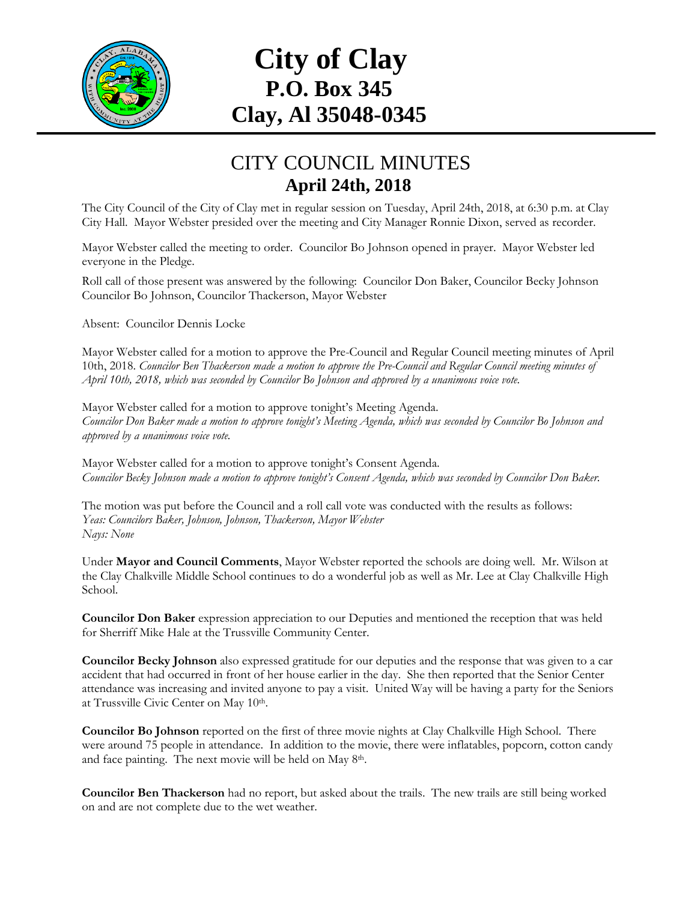

## **City of Clay P.O. Box 345 Clay, Al 35048-0345**

## CITY COUNCIL MINUTES **April 24th, 2018**

The City Council of the City of Clay met in regular session on Tuesday, April 24th, 2018, at 6:30 p.m. at Clay City Hall. Mayor Webster presided over the meeting and City Manager Ronnie Dixon, served as recorder.

Mayor Webster called the meeting to order. Councilor Bo Johnson opened in prayer. Mayor Webster led everyone in the Pledge.

Roll call of those present was answered by the following: Councilor Don Baker, Councilor Becky Johnson Councilor Bo Johnson, Councilor Thackerson, Mayor Webster

Absent: Councilor Dennis Locke

Mayor Webster called for a motion to approve the Pre-Council and Regular Council meeting minutes of April 10th, 2018. *Councilor Ben Thackerson made a motion to approve the Pre-Council and Regular Council meeting minutes of April 10th, 2018, which was seconded by Councilor Bo Johnson and approved by a unanimous voice vote.*

Mayor Webster called for a motion to approve tonight's Meeting Agenda. *Councilor Don Baker made a motion to approve tonight's Meeting Agenda, which was seconded by Councilor Bo Johnson and approved by a unanimous voice vote.*

Mayor Webster called for a motion to approve tonight's Consent Agenda. *Councilor Becky Johnson made a motion to approve tonight's Consent Agenda, which was seconded by Councilor Don Baker.*

The motion was put before the Council and a roll call vote was conducted with the results as follows: *Yeas: Councilors Baker, Johnson, Johnson, Thackerson, Mayor Webster Nays: None*

Under **Mayor and Council Comments**, Mayor Webster reported the schools are doing well. Mr. Wilson at the Clay Chalkville Middle School continues to do a wonderful job as well as Mr. Lee at Clay Chalkville High School.

**Councilor Don Baker** expression appreciation to our Deputies and mentioned the reception that was held for Sherriff Mike Hale at the Trussville Community Center.

**Councilor Becky Johnson** also expressed gratitude for our deputies and the response that was given to a car accident that had occurred in front of her house earlier in the day. She then reported that the Senior Center attendance was increasing and invited anyone to pay a visit. United Way will be having a party for the Seniors at Trussville Civic Center on May 10th.

**Councilor Bo Johnson** reported on the first of three movie nights at Clay Chalkville High School. There were around 75 people in attendance. In addition to the movie, there were inflatables, popcorn, cotton candy and face painting. The next movie will be held on May 8<sup>th</sup>.

**Councilor Ben Thackerson** had no report, but asked about the trails. The new trails are still being worked on and are not complete due to the wet weather.